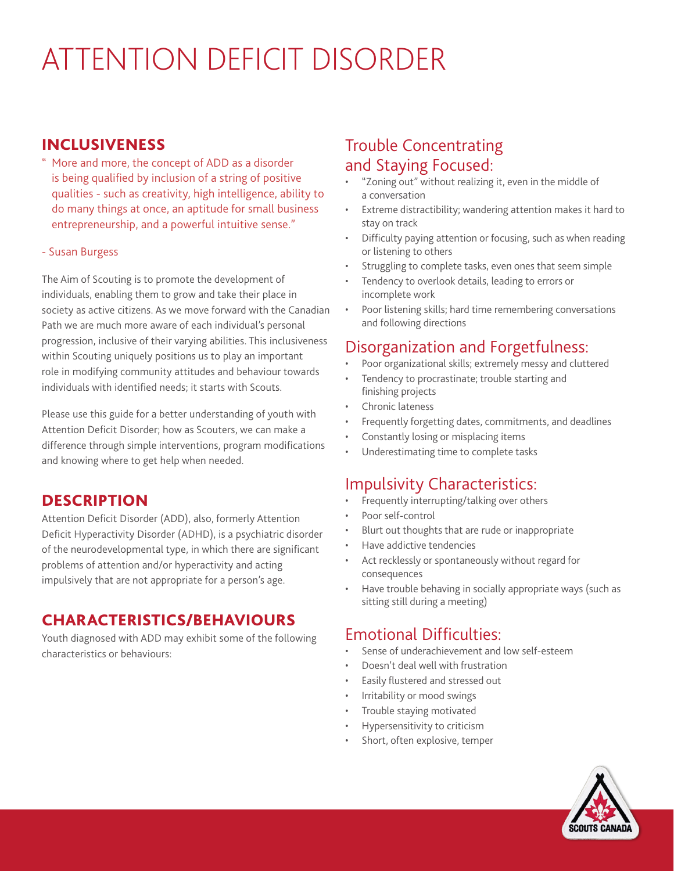# ATTENTION DEFICIT DISORDER

#### INCLUSIVENESS

" More and more, the concept of ADD as a disorder is being qualified by inclusion of a string of positive qualities - such as creativity, high intelligence, ability to do many things at once, an aptitude for small business entrepreneurship, and a powerful intuitive sense."

#### - Susan Burgess

The Aim of Scouting is to promote the development of individuals, enabling them to grow and take their place in society as active citizens. As we move forward with the Canadian Path we are much more aware of each individual's personal progression, inclusive of their varying abilities. This inclusiveness within Scouting uniquely positions us to play an important role in modifying community attitudes and behaviour towards individuals with identified needs; it starts with Scouts.

Please use this guide for a better understanding of youth with Attention Deficit Disorder; how as Scouters, we can make a difference through simple interventions, program modifications and knowing where to get help when needed.

### **DESCRIPTION**

Attention Deficit Disorder (ADD), also, formerly Attention Deficit Hyperactivity Disorder (ADHD), is a psychiatric disorder of the neurodevelopmental type, in which there are significant problems of attention and/or hyperactivity and acting impulsively that are not appropriate for a person's age.

#### CHARACTERISTICS/BEHAVIOURS

Youth diagnosed with ADD may exhibit some of the following characteristics or behaviours:

# Trouble Concentrating and Staying Focused:

- "Zoning out" without realizing it, even in the middle of a conversation
- Extreme distractibility; wandering attention makes it hard to stay on track
- Difficulty paying attention or focusing, such as when reading or listening to others
- Struggling to complete tasks, even ones that seem simple
- Tendency to overlook details, leading to errors or incomplete work
- Poor listening skills; hard time remembering conversations and following directions

### Disorganization and Forgetfulness:

- Poor organizational skills; extremely messy and cluttered
- Tendency to procrastinate; trouble starting and finishing projects
- Chronic lateness
- Frequently forgetting dates, commitments, and deadlines
- Constantly losing or misplacing items
- Underestimating time to complete tasks

# Impulsivity Characteristics:

- Frequently interrupting/talking over others
- Poor self-control
- Blurt out thoughts that are rude or inappropriate
- Have addictive tendencies
- Act recklessly or spontaneously without regard for consequences
- Have trouble behaving in socially appropriate ways (such as sitting still during a meeting)

### Emotional Difficulties:

- Sense of underachievement and low self-esteem
- Doesn't deal well with frustration
- Easily flustered and stressed out
- Irritability or mood swings
- Trouble staying motivated
- Hypersensitivity to criticism
- Short, often explosive, temper